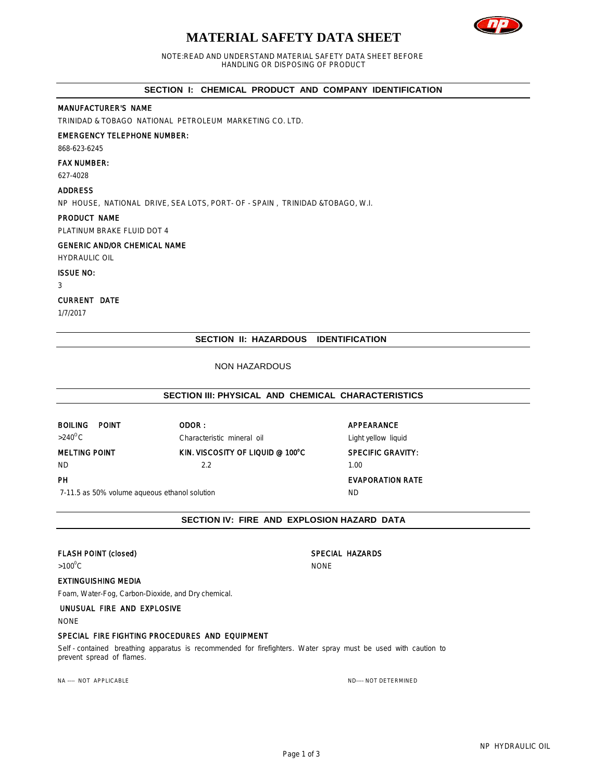# **MATERIAL SAFETY DATA SHEET**



NOTE:READ AND UNDERSTAND MATERIAL SAFETY DATA SHEET BEFORE HANDLING OR DISPOSING OF PRODUCT

# **SECTION I: CHEMICAL PRODUCT AND COMPANY IDENTIFICATION**

# MANUFACTURER'S NAME

TRINIDAD & TOBAGO NATIONAL PETROLEUM MARKETING CO. LTD.

# EMERGENCY TELEPHONE NUMBER:

868-623-6245

### FAX NUMBER:

627-4028

# ADDRESS

NP HOUSE, NATIONAL DRIVE, SEA LOTS, PORT- OF - SPAIN , TRINIDAD &TOBAGO, W.I.

# PRODUCT NAME

PLATINUM BRAKE FLUID DOT 4

# GENERIC AND/OR CHEMICAL NAME

HYDRAULIC OIL

## ISSUE NO:

3

# CURRENT DATE

1/7/2017

# **SECTION II: HAZARDOUS IDENTIFICATION**

# NON HAZARDOUS

# **SECTION III: PHYSICAL AND CHEMICAL CHARACTERISTICS**

BOILING POINT ODOR : CONTROLLING POINT >240<sup>o</sup>C Characteristic mineral oil Characteristic mineral oil Light yellow liquid MELTING POINT **KIN. VISCOSITY OF LIQUID @ 100°C** SPECIFIC GRAVITY:

# ND 2.2 1.00

# PH EVAPORATION RATE

7-11.5 as 50% volume aqueous ethanol solution ND

# **SECTION IV: FIRE AND EXPLOSION HAZARD DATA**

# FLASH POINT (closed) SPECIAL HAZARDS

 $>100^{\circ}$ C NONE

# EXTINGUISHING MEDIA

Foam, Water-Fog, Carbon-Dioxide, and Dry chemical.

# UNUSUAL FIRE AND EXPLOSIVE

NONE

### SPECIAL FIRE FIGHTING PROCEDURES AND EQUIPMENT

Self - contained breathing apparatus is recommended for firefighters. Water spray must be used with caution to prevent spread of flames.

NA ---- NOT APPLICABLE AND A SERVER THE SERVER OF THE SERVER OF THE SERVER OF THE SERVER OF THE SERVER OF THE SERVER OF THE SERVER OF THE SERVER OF THE SERVER OF THE SERVER OF THE SERVER OF THE SERVER OF THE SERVER OF THE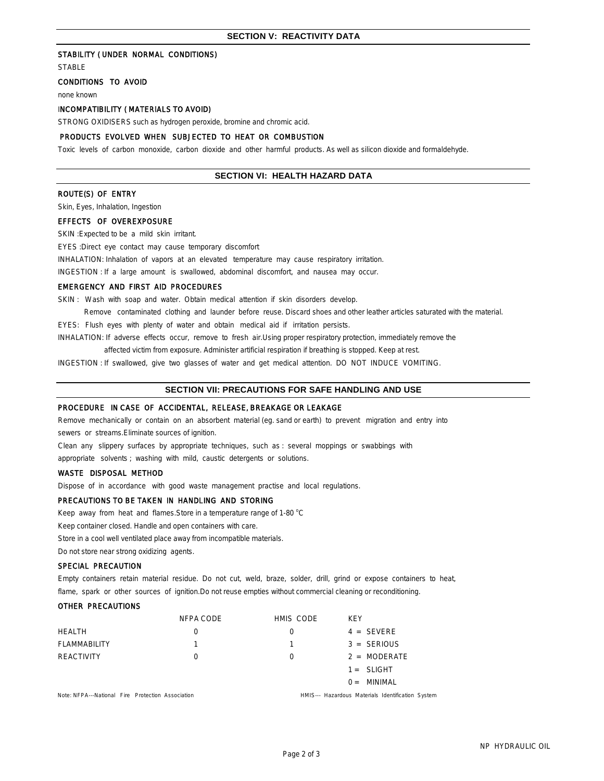# STABILITY ( UNDER NORMAL CONDITIONS)

**STABLE** 

# CONDITIONS TO AVOID

none known

# INCOMPATIBILITY ( MATERIALS TO AVOID)

STRONG OXIDISERS such as hydrogen peroxide, bromine and chromic acid.

# PRODUCTS EVOLVED WHEN SUBJECTED TO HEAT OR COMBUSTION

Toxic levels of carbon monoxide, carbon dioxide and other harmful products. As well as silicon dioxide and formaldehyde.

# **SECTION VI: HEALTH HAZARD DATA**

# ROUTE(S) OF ENTRY

Skin, Eyes, Inhalation, Ingestion

EFFECTS OF OVEREXPOSURE

SKIN :Expected to be a mild skin irritant.

EYES :Direct eye contact may cause temporary discomfort

INHALATION: Inhalation of vapors at an elevated temperature may cause respiratory irritation.

INGESTION : If a large amount is swallowed, abdominal discomfort, and nausea may occur.

### EMERGENCY AND FIRST AID PROCEDURES

SKIN : Wash with soap and water. Obtain medical attention if skin disorders develop.

 Remove contaminated clothing and launder before reuse. Discard shoes and other leather articles saturated with the material. EYES: Flush eyes with plenty of water and obtain medical aid if irritation persists.

INHALATION: If adverse effects occur, remove to fresh air.Using proper respiratory protection, immediately remove the

affected victim from exposure. Administer artificial respiration if breathing is stopped. Keep at rest.

INGESTION : If swallowed, give two glasses of water and get medical attention. DO NOT INDUCE VOMITING.

# **SECTION VII: PRECAUTIONS FOR SAFE HANDLING AND USE**

# PROCEDURE IN CASE OF ACCIDENTAL, RELEASE, BREAKAGE OR LEAKAGE

Remove mechanically or contain on an absorbent material (eg. sand or earth) to prevent migration and entry into sewers or streams.Eliminate sources of ignition.

Clean any slippery surfaces by appropriate techniques, such as : several moppings or swabbings with

appropriate solvents ; washing with mild, caustic detergents or solutions.

# WASTE DISPOSAL METHOD

Dispose of in accordance with good waste management practise and local regulations.

# PRECAUTIONS TO BE TAKEN IN HANDLING AND STORING

Keep away from heat and flames. Store in a temperature range of 1-80 °C

Keep container closed. Handle and open containers with care.

Store in a cool well ventilated place away from incompatible materials.

Do not store near strong oxidizing agents.

# SPECIAL PRECAUTION

Empty containers retain material residue. Do not cut, weld, braze, solder, drill, grind or expose containers to heat, flame, spark or other sources of ignition. Do not reuse empties without commercial cleaning or reconditioning.

#### OTHER PRECAUTIONS

|                                                   | NFPA CODE | HMIS CODE                                         | <b>KFY</b>     |
|---------------------------------------------------|-----------|---------------------------------------------------|----------------|
| <b>HEALTH</b>                                     |           | $\left( \right)$                                  | $4 = SEVERE$   |
| <b>FLAMMABILITY</b>                               |           | 1.                                                | $3 = SERIOUS$  |
| REACTIVITY                                        |           | $\Omega$                                          | $2 = MODERATE$ |
|                                                   |           |                                                   | $1 = SLIGHT$   |
|                                                   |           |                                                   | $0 =$ MINIMAL  |
| Note: NFPA---National Fire Protection Association |           | HMIS--- Hazardous Materials Identification System |                |